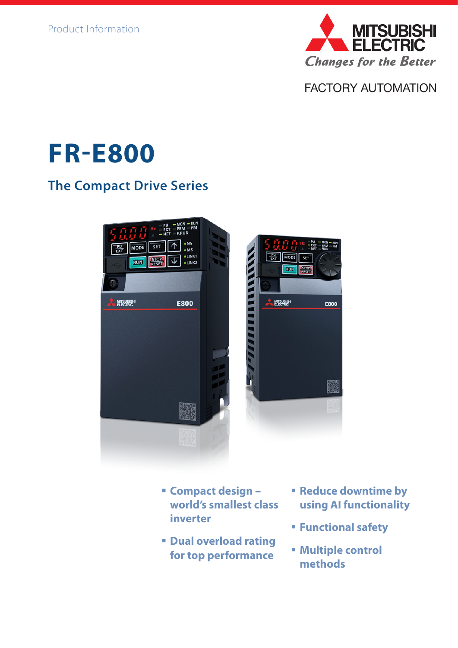

FACTORY AUTOMATION

# **FR-E800**

## **The Compact Drive Series**



- **Compact design world's smallest class inverter**
- **Dual overload rating for top performance**
- **Reduce downtime by using AI functionality**
- **Functional safety**
- **Multiple control methods**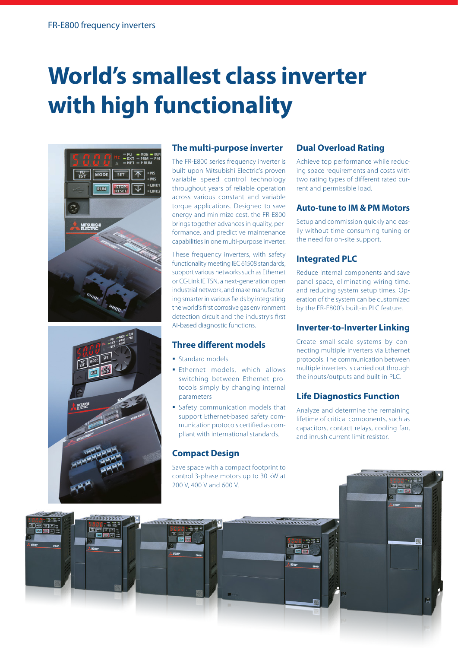# **World's smallest class inverter with high functionality**





#### **The multi-purpose inverter**

The FR-E800 series frequency inverter is built upon Mitsubishi Electric's proven variable speed control technology throughout years of reliable operation across various constant and variable torque applications. Designed to save energy and minimize cost, the FR-E800 brings together advances in quality, performance, and predictive maintenance capabilities in one multi-purpose inverter.

These frequency inverters, with safety functionality meeting IEC 61508 standards, support various networks such as Ethernet or CC-Link IE TSN, a next-generation open industrial network, and make manufacturing smarter in various fields by integrating the world's first corrosive gas environment detection circuit and the industry's first AI-based diagnostic functions.

#### **Three different models**

- **Standard models**
- **Ethernet models, which allows** switching between Ethernet protocols simply by changing internal parameters
- **Safety communication models that** support Ethernet-based safety communication protocols certified as compliant with international standards.

#### **Compact Design**

Save space with a compact footprint to control 3-phase motors up to 30 kW at 200 V, 400 V and 600 V.

#### **Dual Overload Rating**

Achieve top performance while reducing space requirements and costs with two rating types of different rated current and permissible load.

#### **Auto-tune to IM & PM Motors**

Setup and commission quickly and easily without time-consuming tuning or the need for on-site support.

#### **Integrated PLC**

Reduce internal components and save panel space, eliminating wiring time, and reducing system setup times. Operation of the system can be customized by the FR-E800's built-in PLC feature.

#### **Inverter-to-Inverter Linking**

Create small-scale systems by connecting multiple inverters via Ethernet protocols. The communication between multiple inverters is carried out through the inputs/outputs and built-in PLC.

#### **Life Diagnostics Function**

Analyze and determine the remaining lifetime of critical components, such as capacitors, contact relays, cooling fan, and inrush current limit resistor.

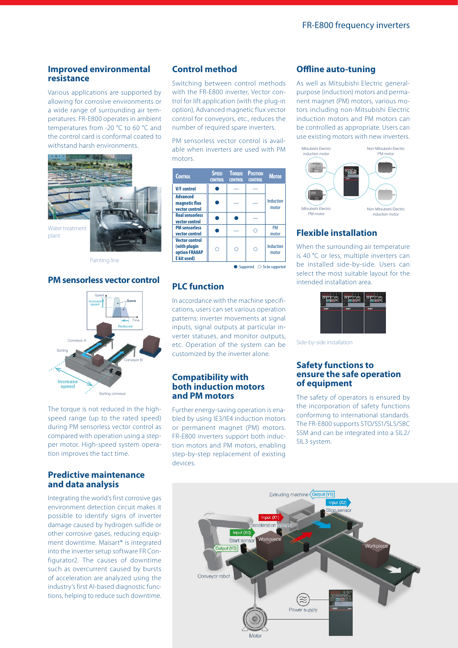#### **Improved environmental resistance**

Various applications are supported by allowing for corrosive environments or a wide range of surrounding air temperatures. FR-E800 operates in ambient temperatures from -20 °C to 60 °C and the control card is conformal coated to withstand harsh environments.



Painting line

#### **PM sensorless vector control**



The torque is not reduced in the highspeed range (up to the rated speed) during PM sensorless vector control as compared with operation using a stepper motor. High-speed system operation improves the tact time.

#### **Predictive maintenance and data analysis**

Integrating the world's first corrosive gas environment detection circuit makes it possible to identify signs of inverter damage caused by hydrogen sulfide or other corrosive gases, reducing equipment downtime. Maisart® is integrated into the inverter setup software FR Configurator2. The causes of downtime such as overcurrent caused by bursts of acceleration are analyzed using the industry's first AI-based diagnostic functions, helping to reduce such downtime.

#### **Control method**

Switching between control methods with the FR-E800 inverter, Vector control for lift application (with the plug-in option), Advanced magnetic flux vector control for conveyors, etc., reduces the number of required spare inverters.

PM sensorless vector control is available when inverters are used with PM motors.

| <b>CONTROL</b>                                                        | <b>SPEED</b><br><b>CONTROL</b> | <b>TOROUE</b><br><b>CONTROL</b> | <b>POSITION</b><br><b>CONTROL</b> | <b>MOTOR</b>              |
|-----------------------------------------------------------------------|--------------------------------|---------------------------------|-----------------------------------|---------------------------|
| <b>V/F</b> control                                                    |                                |                                 |                                   |                           |
| <b>Advanced</b><br>magnetic flux<br>vector control                    |                                |                                 |                                   | <b>Induction</b><br>motor |
| <b>Real sensorless</b><br>vector control                              |                                |                                 |                                   |                           |
| <b>PM</b> sensorless<br>vector control                                |                                |                                 |                                   | <b>PM</b><br>motor        |
| <b>Vector control</b><br>(with plugin<br>option FRA8AP<br>E kit used) |                                | ∩                               |                                   | <b>Induction</b><br>motor |

#### $\bullet$ : Supported  $\circ$ : To be supported

#### **PLC function**

In accordance with the machine specifications, users can set various operation patterns: inverter movements at signal inputs, signal outputs at particular inverter statuses, and monitor outputs, etc. Operation of the system can be customized by the inverter alone.

#### **Compatibility with both induction motors and PM motors**

Further energy-saving operation is enabled by using IE3/IE4 induction motors or permanent magnet (PM) motors. FR-E800 inverters support both induction motors and PM motors, enabling step-by-step replacement of existing devices.

#### **Offline auto-tuning**

As well as Mitsubishi Electric generalpurpose (induction) motors and permanent magnet (PM) motors, various motors including non-Mitsubishi Electric induction motors and PM motors can be controlled as appropriate. Users can use existing motors with new inverters.



### **Flexible installation**

When the surrounding air temperature is 40 °C or less, multiple inverters can be installed side-by-side. Users can select the most suitable layout for the intended installation area.



Side-by-side installation

#### **Safety functions to ensure the safe operation of equipment**

The safety of operators is ensured by the incorporation of safety functions conforming to international standards. The FR-E800 supports STO/SS1/SLS/SBC SSM and can be integrated into a SIL2/ SIL3 system.